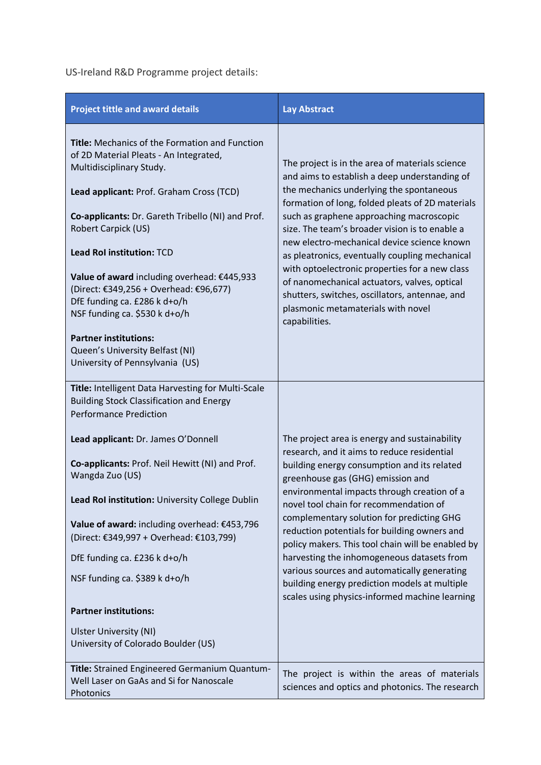US-Ireland R&D Programme project details:

| <b>Project tittle and award details</b>                                                                                                                                                                                                                                                                                                                                                                                                                                                                                                   | <b>Lay Abstract</b>                                                                                                                                                                                                                                                                                                                                                                                                                                                                                                                                                                                                          |
|-------------------------------------------------------------------------------------------------------------------------------------------------------------------------------------------------------------------------------------------------------------------------------------------------------------------------------------------------------------------------------------------------------------------------------------------------------------------------------------------------------------------------------------------|------------------------------------------------------------------------------------------------------------------------------------------------------------------------------------------------------------------------------------------------------------------------------------------------------------------------------------------------------------------------------------------------------------------------------------------------------------------------------------------------------------------------------------------------------------------------------------------------------------------------------|
| Title: Mechanics of the Formation and Function<br>of 2D Material Pleats - An Integrated,<br>Multidisciplinary Study.<br>Lead applicant: Prof. Graham Cross (TCD)<br>Co-applicants: Dr. Gareth Tribello (NI) and Prof.<br>Robert Carpick (US)<br>Lead RoI institution: TCD<br>Value of award including overhead: €445,933<br>(Direct: €349,256 + Overhead: €96,677)<br>DfE funding ca. £286 k d+o/h<br>NSF funding ca. \$530 k d+o/h<br><b>Partner institutions:</b><br>Queen's University Belfast (NI)<br>University of Pennsylvania (US) | The project is in the area of materials science<br>and aims to establish a deep understanding of<br>the mechanics underlying the spontaneous<br>formation of long, folded pleats of 2D materials<br>such as graphene approaching macroscopic<br>size. The team's broader vision is to enable a<br>new electro-mechanical device science known<br>as pleatronics, eventually coupling mechanical<br>with optoelectronic properties for a new class<br>of nanomechanical actuators, valves, optical<br>shutters, switches, oscillators, antennae, and<br>plasmonic metamaterials with novel<br>capabilities.                   |
| Title: Intelligent Data Harvesting for Multi-Scale<br><b>Building Stock Classification and Energy</b><br><b>Performance Prediction</b>                                                                                                                                                                                                                                                                                                                                                                                                    |                                                                                                                                                                                                                                                                                                                                                                                                                                                                                                                                                                                                                              |
| Lead applicant: Dr. James O'Donnell<br>Co-applicants: Prof. Neil Hewitt (NI) and Prof.<br>Wangda Zuo (US)<br>Lead RoI institution: University College Dublin<br>Value of award: including overhead: €453,796<br>(Direct: €349,997 + Overhead: €103,799)<br>DfE funding ca. £236 k d+o/h<br>NSF funding ca. \$389 k d+o/h<br><b>Partner institutions:</b>                                                                                                                                                                                  | The project area is energy and sustainability<br>research, and it aims to reduce residential<br>building energy consumption and its related<br>greenhouse gas (GHG) emission and<br>environmental impacts through creation of a<br>novel tool chain for recommendation of<br>complementary solution for predicting GHG<br>reduction potentials for building owners and<br>policy makers. This tool chain will be enabled by<br>harvesting the inhomogeneous datasets from<br>various sources and automatically generating<br>building energy prediction models at multiple<br>scales using physics-informed machine learning |
| Ulster University (NI)<br>University of Colorado Boulder (US)                                                                                                                                                                                                                                                                                                                                                                                                                                                                             |                                                                                                                                                                                                                                                                                                                                                                                                                                                                                                                                                                                                                              |
| Title: Strained Engineered Germanium Quantum-<br>Well Laser on GaAs and Si for Nanoscale<br>Photonics                                                                                                                                                                                                                                                                                                                                                                                                                                     | The project is within the areas of materials<br>sciences and optics and photonics. The research                                                                                                                                                                                                                                                                                                                                                                                                                                                                                                                              |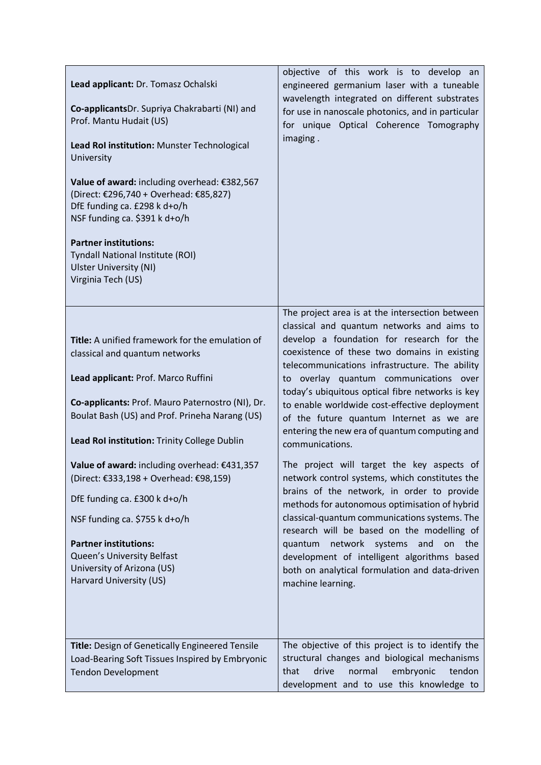| Lead applicant: Dr. Tomasz Ochalski<br>Co-applicantsDr. Supriya Chakrabarti (NI) and<br>Prof. Mantu Hudait (US)<br>Lead Rol institution: Munster Technological<br>University<br>Value of award: including overhead: €382,567<br>(Direct: €296,740 + Overhead: €85,827)<br>DfE funding ca. £298 k d+o/h<br>NSF funding ca. \$391 k d+o/h<br><b>Partner institutions:</b><br>Tyndall National Institute (ROI)<br><b>Ulster University (NI)</b><br>Virginia Tech (US)                                                                                               | objective of this work is to develop an<br>engineered germanium laser with a tuneable<br>wavelength integrated on different substrates<br>for use in nanoscale photonics, and in particular<br>for unique Optical Coherence Tomography<br>imaging.                                                                                                                                                                                                                                                                                                                                                                                                                                                                                                                                                                                                                                                                                                                       |
|------------------------------------------------------------------------------------------------------------------------------------------------------------------------------------------------------------------------------------------------------------------------------------------------------------------------------------------------------------------------------------------------------------------------------------------------------------------------------------------------------------------------------------------------------------------|--------------------------------------------------------------------------------------------------------------------------------------------------------------------------------------------------------------------------------------------------------------------------------------------------------------------------------------------------------------------------------------------------------------------------------------------------------------------------------------------------------------------------------------------------------------------------------------------------------------------------------------------------------------------------------------------------------------------------------------------------------------------------------------------------------------------------------------------------------------------------------------------------------------------------------------------------------------------------|
| Title: A unified framework for the emulation of<br>classical and quantum networks<br>Lead applicant: Prof. Marco Ruffini<br>Co-applicants: Prof. Mauro Paternostro (NI), Dr.<br>Boulat Bash (US) and Prof. Prineha Narang (US)<br>Lead Rol institution: Trinity College Dublin<br>Value of award: including overhead: €431,357<br>(Direct: €333,198 + Overhead: €98,159)<br>DfE funding ca. £300 k d+o/h<br>NSF funding ca. \$755 k d+o/h<br><b>Partner institutions:</b><br>Queen's University Belfast<br>University of Arizona (US)<br>Harvard University (US) | The project area is at the intersection between<br>classical and quantum networks and aims to<br>develop a foundation for research for the<br>coexistence of these two domains in existing<br>telecommunications infrastructure. The ability<br>to overlay quantum communications over<br>today's ubiquitous optical fibre networks is key<br>to enable worldwide cost-effective deployment<br>of the future quantum Internet as we are<br>entering the new era of quantum computing and<br>communications.<br>The project will target the key aspects of<br>network control systems, which constitutes the<br>brains of the network, in order to provide<br>methods for autonomous optimisation of hybrid<br>classical-quantum communications systems. The<br>research will be based on the modelling of<br>quantum network systems and<br>on the<br>development of intelligent algorithms based<br>both on analytical formulation and data-driven<br>machine learning. |
| Title: Design of Genetically Engineered Tensile<br>Load-Bearing Soft Tissues Inspired by Embryonic<br><b>Tendon Development</b>                                                                                                                                                                                                                                                                                                                                                                                                                                  | The objective of this project is to identify the<br>structural changes and biological mechanisms<br>drive<br>normal<br>embryonic<br>tendon<br>that<br>development and to use this knowledge to                                                                                                                                                                                                                                                                                                                                                                                                                                                                                                                                                                                                                                                                                                                                                                           |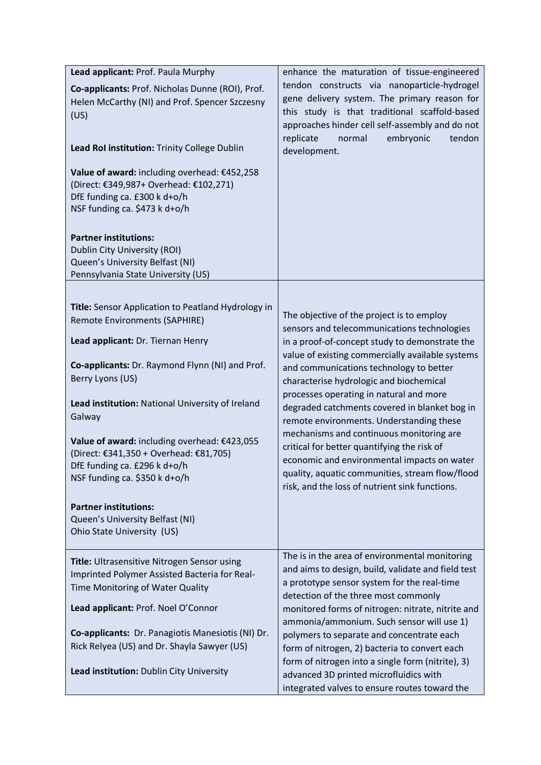| Lead applicant: Prof. Paula Murphy<br>Co-applicants: Prof. Nicholas Dunne (ROI), Prof.<br>Helen McCarthy (NI) and Prof. Spencer Szczesny<br>(US)<br>Lead Rol institution: Trinity College Dublin<br>Value of award: including overhead: €452,258<br>(Direct: €349,987+ Overhead: €102,271)<br>DfE funding ca. £300 k d+o/h<br>NSF funding ca. \$473 k d+o/h<br><b>Partner institutions:</b><br>Dublin City University (ROI)<br>Queen's University Belfast (NI)<br>Pennsylvania State University (US)                      | enhance the maturation of tissue-engineered<br>tendon constructs via nanoparticle-hydrogel<br>gene delivery system. The primary reason for<br>this study is that traditional scaffold-based<br>approaches hinder cell self-assembly and do not<br>replicate<br>embryonic<br>tendon<br>normal<br>development.                                                                                                                                                                                                                                                                                                                                                                |
|---------------------------------------------------------------------------------------------------------------------------------------------------------------------------------------------------------------------------------------------------------------------------------------------------------------------------------------------------------------------------------------------------------------------------------------------------------------------------------------------------------------------------|-----------------------------------------------------------------------------------------------------------------------------------------------------------------------------------------------------------------------------------------------------------------------------------------------------------------------------------------------------------------------------------------------------------------------------------------------------------------------------------------------------------------------------------------------------------------------------------------------------------------------------------------------------------------------------|
| Title: Sensor Application to Peatland Hydrology in<br>Remote Environments (SAPHIRE)<br>Lead applicant: Dr. Tiernan Henry<br>Co-applicants: Dr. Raymond Flynn (NI) and Prof.<br>Berry Lyons (US)<br>Lead institution: National University of Ireland<br>Galway<br>Value of award: including overhead: €423,055<br>(Direct: €341,350 + Overhead: €81,705)<br>DfE funding ca. £296 k d+o/h<br>NSF funding ca. \$350 k d+o/h<br><b>Partner institutions:</b><br>Queen's University Belfast (NI)<br>Ohio State University (US) | The objective of the project is to employ<br>sensors and telecommunications technologies<br>in a proof-of-concept study to demonstrate the<br>value of existing commercially available systems<br>and communications technology to better<br>characterise hydrologic and biochemical<br>processes operating in natural and more<br>degraded catchments covered in blanket bog in<br>remote environments. Understanding these<br>mechanisms and continuous monitoring are<br>critical for better quantifying the risk of<br>economic and environmental impacts on water<br>quality, aquatic communities, stream flow/flood<br>risk, and the loss of nutrient sink functions. |
| Title: Ultrasensitive Nitrogen Sensor using<br>Imprinted Polymer Assisted Bacteria for Real-<br>Time Monitoring of Water Quality<br>Lead applicant: Prof. Noel O'Connor<br>Co-applicants: Dr. Panagiotis Manesiotis (NI) Dr.<br>Rick Relyea (US) and Dr. Shayla Sawyer (US)<br>Lead institution: Dublin City University                                                                                                                                                                                                   | The is in the area of environmental monitoring<br>and aims to design, build, validate and field test<br>a prototype sensor system for the real-time<br>detection of the three most commonly<br>monitored forms of nitrogen: nitrate, nitrite and<br>ammonia/ammonium. Such sensor will use 1)<br>polymers to separate and concentrate each<br>form of nitrogen, 2) bacteria to convert each<br>form of nitrogen into a single form (nitrite), 3)<br>advanced 3D printed microfluidics with<br>integrated valves to ensure routes toward the                                                                                                                                 |